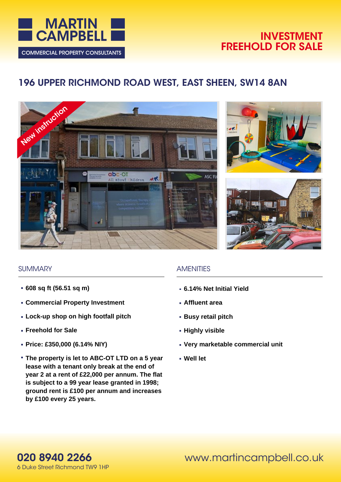

## **INVESTMENT FREEHOLD FOR SALE**

# **196 UPPER RICHMOND ROAD WEST, EAST SHEEN, SW14 8AN**







## **SUMMARY**

- **608 sq ft (56.51 sq m)**
- **Commercial Property Investment**
- **Lock-up shop on high footfall pitch**
- **Freehold for Sale**
- **Price: £350,000 (6.14% NIY)**
- **The property is let to ABC-OT LTD on a 5 year lease with a tenant only break at the end of year 2 at a rent of £22,000 per annum. The flat is subject to a 99 year lease granted in 1998; ground rent is £100 per annum and increases by £100 every 25 years.**

## **AMENITIES**

- **6.14% Net Initial Yield**
- **Affluent area**
- **Busy retail pitch**
- **Highly visible**
- **Very marketable commercial unit**
- **Well let**

**020 8940 2266** 6 Duke Street Richmond TW9 1HP www.martincampbell.co.uk